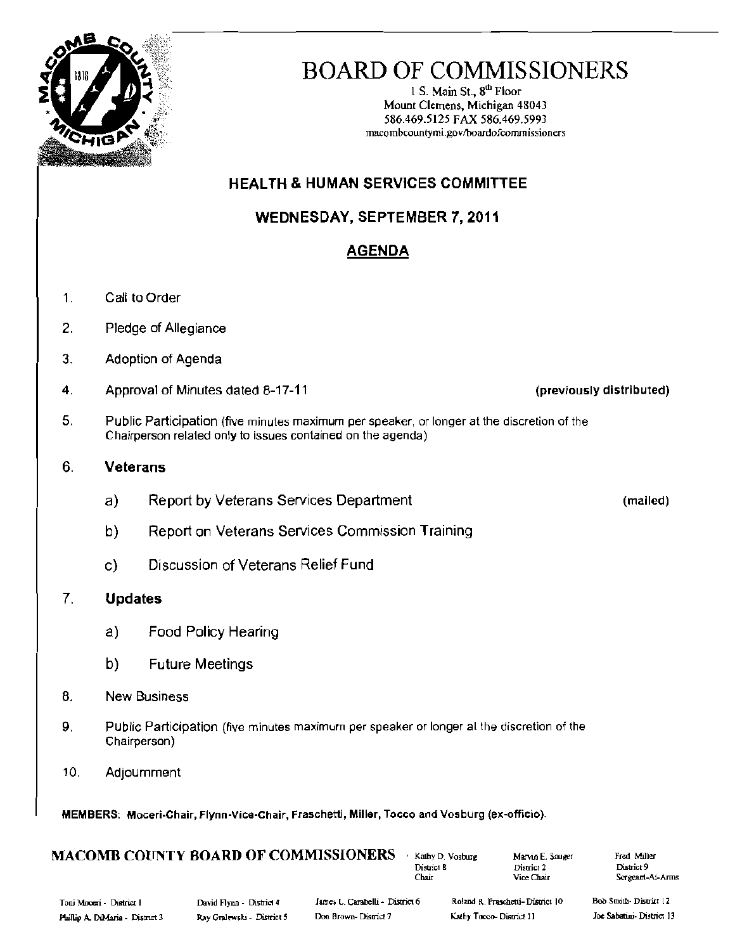

# BOARD OF COMMISSIONERS

1 S. Main St.,  $8<sup>th</sup>$  Floor Mount Clemens, Michigan 48043 586.469.5125 FAX 586.469.5993 macombcountymi\_go~'lboardofcommissioners

## HEALTH & HUMAN SERVICES COMMITTEE

## WEDNESDAY, SEPTEMBER 7, 2011

## AGENDA

- 1. Call to Order
- 2. Pledge of Allegiance
- 3. Adoption of Agenda
- 4. Approval of Minutes dated 8-17-11 (a) in the set of the set of the set of the set of the Approval of Minutes dated 8-17-11
- 5. Public Participation (five minutes maximum per speaker, or longer at the discretion of the Chairperson related only to issues contained on the agenda)

### 6. **Veterans**

- a) Report by Veterans Services Department (mailed)
- b) Report on Veterans Services Commission Training
- c) Discussion of Veterans Relief Fund

## 7. Updates

- a) Food Policy Hearing
- b) Future Meetings
- 8. New Business
- 9. PUblic Participation (five minutes maximum per speaker or longer at the discretion of the Chairperson)
- 10. Adjournment

MEMBERS: Moceri-Chair, Flynn-Vice-Chair, Fraschetti, Miller, Tocco and Vosburg (ex-officio).

## $\textbf{MACOMB COUNTY BOARD OF COMMISSIONERS}$  . Kathy D. Vosburg . Marvin E. Sauger . Fred Miller . Pred Miller . District 9

District 9 Chair Vice Chair Scrgeam-At-Arms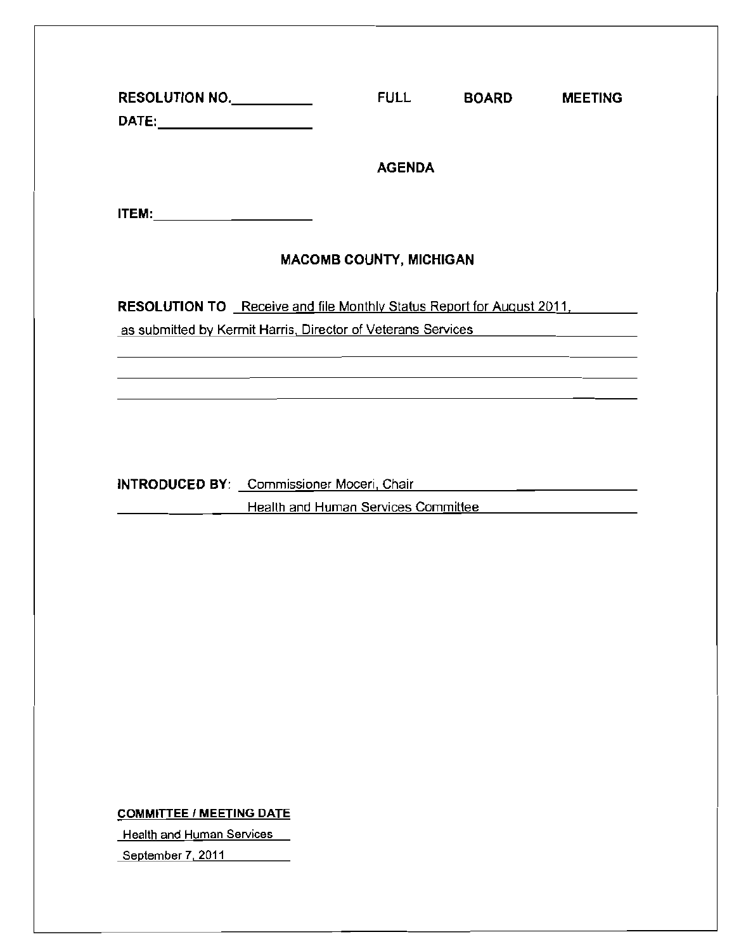| RESOLUTION NO.                                                                                                                                                   | <b>FULL</b>   | <b>BOARD</b> | <b>MEETING</b> |  |  |  |
|------------------------------------------------------------------------------------------------------------------------------------------------------------------|---------------|--------------|----------------|--|--|--|
|                                                                                                                                                                  | <b>AGENDA</b> |              |                |  |  |  |
|                                                                                                                                                                  |               |              |                |  |  |  |
| <b>MACOMB COUNTY, MICHIGAN</b>                                                                                                                                   |               |              |                |  |  |  |
| <b>RESOLUTION TO</b> Receive and file Monthly Status Report for August 2011,<br>as submitted by Kermit Harris, Director of Veterans Services <b>Example 2018</b> |               |              |                |  |  |  |
| <u> 1990 - Jan James Sandarík (f. 1980)</u>                                                                                                                      |               |              |                |  |  |  |
|                                                                                                                                                                  |               |              |                |  |  |  |
| Health and Human Services Committee                                                                                                                              |               |              |                |  |  |  |
|                                                                                                                                                                  |               |              |                |  |  |  |
|                                                                                                                                                                  |               |              |                |  |  |  |

COMMITTEE / MEETING DATE

**Health and Human Services** 

**September 7,2011**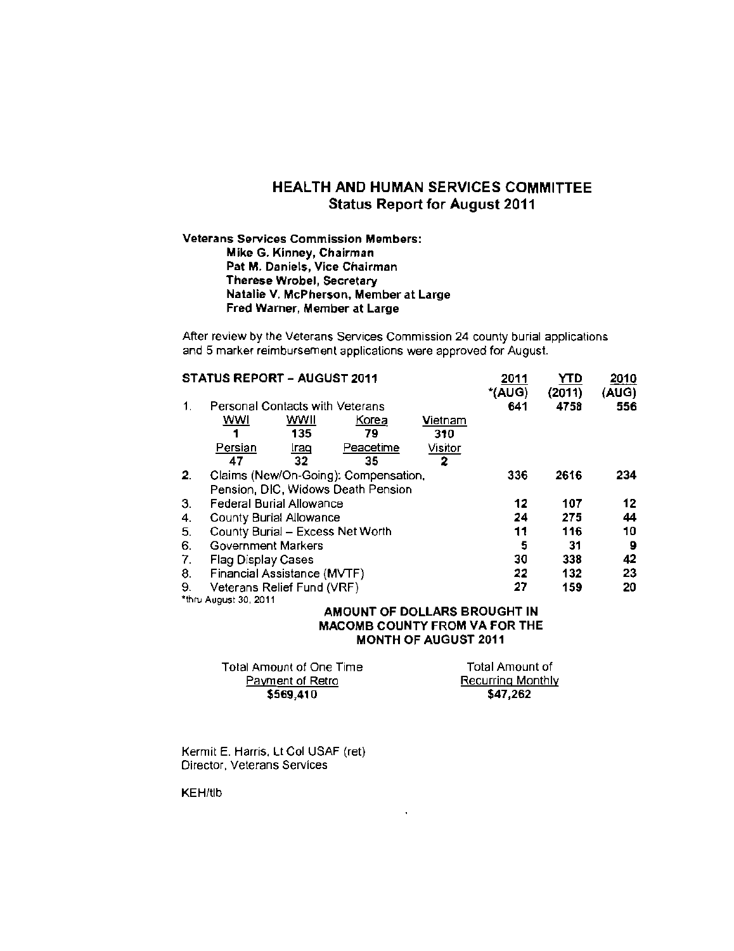### HEALTH AND HUMAN SERVICES COMMITTEE Status Report for August 2011

### Veterans Services Commission Members: Mike G. Kinney, Chairman Pat M. Daniels, Vice Chairman Therese Wrobel, Secretary Natalie V. McPherson, Member at Large Fred Warner, Member at Large

After review by the Veterans Services Commission 24 county burial applications and 5 marker reimbursement applications were approved for August.

| <b>STATUS REPORT - AUGUST 2011</b> |                                                                                                                                                                                                                   |      |           |         | 2011          | YTD            | 2010         |
|------------------------------------|-------------------------------------------------------------------------------------------------------------------------------------------------------------------------------------------------------------------|------|-----------|---------|---------------|----------------|--------------|
| 1.                                 | Personal Contacts with Veterans                                                                                                                                                                                   |      |           |         | *(AUG)<br>641 | (2011)<br>4758 | (AUG)<br>556 |
|                                    | wwi                                                                                                                                                                                                               | WWII | Korea     | Vietnam |               |                |              |
|                                    |                                                                                                                                                                                                                   | 135  | 79        | 310     |               |                |              |
|                                    | Persian                                                                                                                                                                                                           | lraq | Peacetime | Visitor |               |                |              |
|                                    | 47                                                                                                                                                                                                                | 32   | 35        | 2       |               |                |              |
| 2 <sub>1</sub>                     | Claims (New/On-Going): Compensation,                                                                                                                                                                              |      |           |         | 336           | 2616           | 234          |
|                                    |                                                                                                                                                                                                                   |      |           |         |               |                |              |
| З.                                 | Federal Burial Allowance                                                                                                                                                                                          |      |           |         |               | 107            | 12           |
| 4.                                 |                                                                                                                                                                                                                   |      |           |         |               | 275            | 44           |
| 5.                                 |                                                                                                                                                                                                                   |      |           |         |               | 116            | 10           |
| 6.                                 |                                                                                                                                                                                                                   |      |           |         | 5             | 31             | 9            |
| 7.                                 | Pension, DIC, Widows Death Pension<br><b>County Burial Allowance</b><br>County Burial - Excess Net Worth<br>Government Markers<br>Flag Display Cases<br>Financial Assistance (MVTF)<br>Veterans Relief Fund (VRF) |      |           |         | 30            | 338            | 42           |
| 8.                                 |                                                                                                                                                                                                                   |      |           |         |               | 132            | 23           |
| 9.                                 |                                                                                                                                                                                                                   |      |           |         |               | 159            | 20           |
|                                    | *thru August 30, 2011                                                                                                                                                                                             |      |           |         |               |                |              |

#### AMOUNT OF DOLLARS BROUGHT IN MACOMB COUNTY FROM VA FOR THE MONTH OF AUGUST 2011

| Total Amount of One Time | Total Amount of          |
|--------------------------|--------------------------|
| Payment of Retro         | <b>Recurring Monthly</b> |
| \$569,410                | \$47.262                 |

 $\hat{\mathbf{r}}$ 

Kermit E. Harris, Lt Col USAF (ret) Director, Veterans Services

KEH/tlb